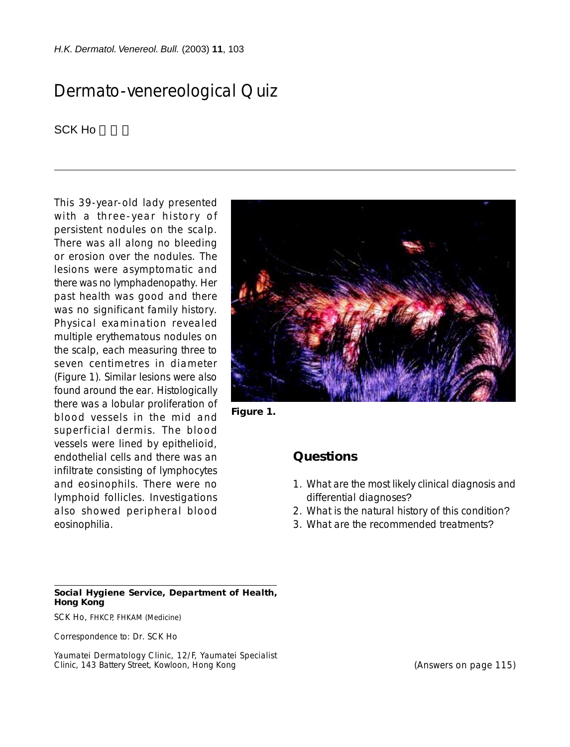*H.K. Dermatol. Venereol. Bull.* (2003) **11**, 103

## Dermato-venereological Quiz

SCK Ho

This 39-year-old lady presented with a three-year history of persistent nodules on the scalp. There was all along no bleeding or erosion over the nodules. The lesions were asymptomatic and there was no lymphadenopathy. Her past health was good and there was no significant family history. Physical examination revealed multiple erythematous nodules on the scalp, each measuring three to seven centimetres in diameter (Figure 1). Similar lesions were also found around the ear. Histologically there was a lobular proliferation of blood vessels in the mid and superficial dermis. The blood vessels were lined by epithelioid, endothelial cells and there was an infiltrate consisting of lymphocytes and eosinophils. There were no lymphoid follicles. Investigations also showed peripheral blood eosinophilia.



**Figure 1.**

## **Questions**

- 1. What are the most likely clinical diagnosis and differential diagnoses?
- 2. What is the natural history of this condition?
- 3. What are the recommended treatments?

## **Social Hygiene Service, Department of Health, Hong Kong**

SCK Ho, FHKCP, FHKAM (Medicine)

Correspondence to: Dr. SCK Ho

Yaumatei Dermatology Clinic, 12/F, Yaumatei Specialist Clinic, 143 Battery Street, Kowloon, Hong Kong